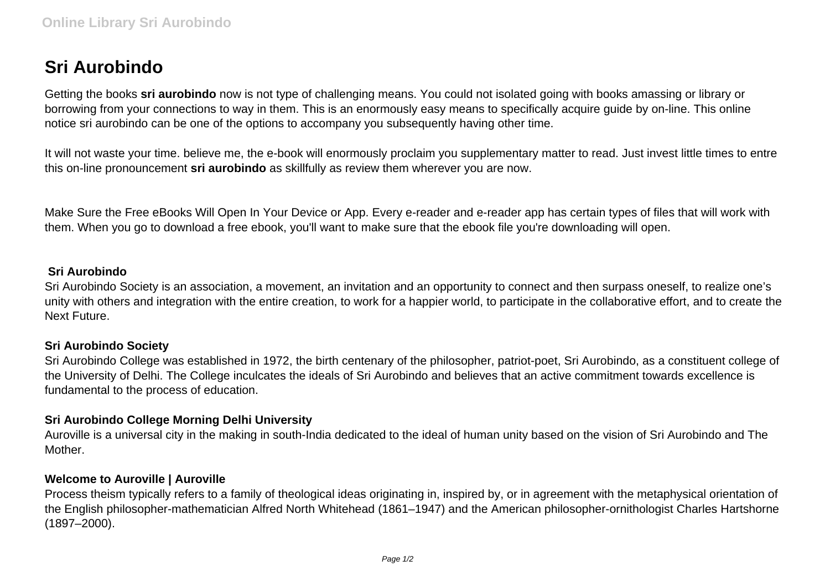# **Sri Aurobindo**

Getting the books **sri aurobindo** now is not type of challenging means. You could not isolated going with books amassing or library or borrowing from your connections to way in them. This is an enormously easy means to specifically acquire guide by on-line. This online notice sri aurobindo can be one of the options to accompany you subsequently having other time.

It will not waste your time. believe me, the e-book will enormously proclaim you supplementary matter to read. Just invest little times to entre this on-line pronouncement **sri aurobindo** as skillfully as review them wherever you are now.

Make Sure the Free eBooks Will Open In Your Device or App. Every e-reader and e-reader app has certain types of files that will work with them. When you go to download a free ebook, you'll want to make sure that the ebook file you're downloading will open.

#### **Sri Aurobindo**

Sri Aurobindo Society is an association, a movement, an invitation and an opportunity to connect and then surpass oneself, to realize one's unity with others and integration with the entire creation, to work for a happier world, to participate in the collaborative effort, and to create the Next Future.

### **Sri Aurobindo Society**

Sri Aurobindo College was established in 1972, the birth centenary of the philosopher, patriot-poet, Sri Aurobindo, as a constituent college of the University of Delhi. The College inculcates the ideals of Sri Aurobindo and believes that an active commitment towards excellence is fundamental to the process of education.

## **Sri Aurobindo College Morning Delhi University**

Auroville is a universal city in the making in south-India dedicated to the ideal of human unity based on the vision of Sri Aurobindo and The Mother.

### **Welcome to Auroville | Auroville**

Process theism typically refers to a family of theological ideas originating in, inspired by, or in agreement with the metaphysical orientation of the English philosopher-mathematician Alfred North Whitehead (1861–1947) and the American philosopher-ornithologist Charles Hartshorne (1897–2000).